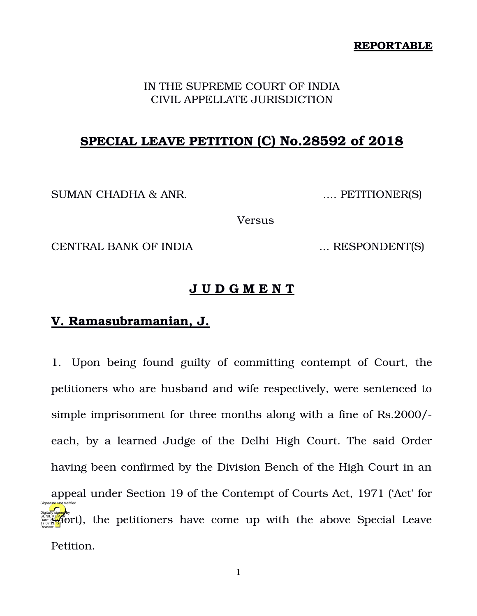#### **REPORTABLE**

#### IN THE SUPREME COURT OF INDIA CIVIL APPELLATE JURISDICTION

# **SPECIAL LEAVE PETITION (C) No.28592 of 2018**

SUMAN CHADHA & ANR. .... PETITIONER(S)

Versus

CENTRAL BANK OF INDIA  $\ldots$  RESPONDENT(S)

### **J U D G M E N T**

# **V. Ramasubramanian, J.**

1. Upon being found guilty of committing contempt of Court, the petitioners who are husband and wife respectively, were sentenced to simple imprisonment for three months along with a fine of Rs.2000/ each, by a learned Judge of the Delhi High Court. The said Order having been confirmed by the Division Bench of the High Court in an appeal under Section 19 of the Contempt of Courts Act, 1971 ('Act' for **show that the state of the petitioners have come up with the above Special Leave** Petition. Reason: Signature Not Verified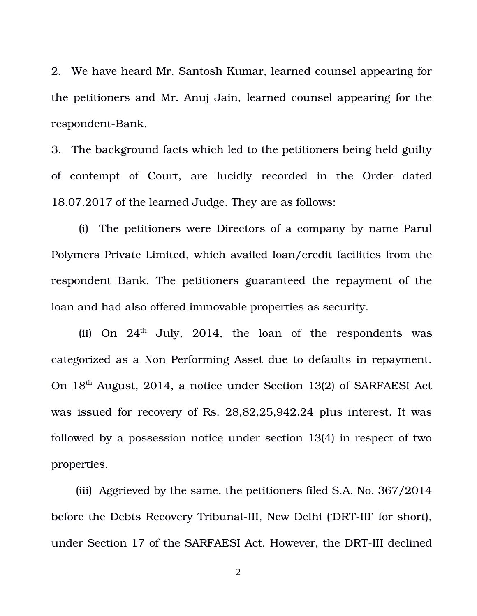2. We have heard Mr. Santosh Kumar, learned counsel appearing for the petitioners and Mr. Anuj Jain, learned counsel appearing for the respondent-Bank.

3. The background facts which led to the petitioners being held guilty of contempt of Court, are lucidly recorded in the Order dated 18.07.2017 of the learned Judge. They are as follows:

(i) The petitioners were Directors of a company by name Parul Polymers Private Limited, which availed loan/credit facilities from the respondent Bank. The petitioners guaranteed the repayment of the loan and had also offered immovable properties as security.

(ii) On  $24<sup>th</sup>$  July, 2014, the loan of the respondents was categorized as a Non Performing Asset due to defaults in repayment. On 18th August, 2014, a notice under Section 13(2) of SARFAESI Act was issued for recovery of Rs. 28,82,25,942.24 plus interest. It was followed by a possession notice under section 13(4) in respect of two properties.

(iii) Aggrieved by the same, the petitioners filed S.A. No. 367/2014 before the Debts Recovery Tribunal-III, New Delhi ('DRT-III' for short), under Section 17 of the SARFAESI Act. However, the DRT-III declined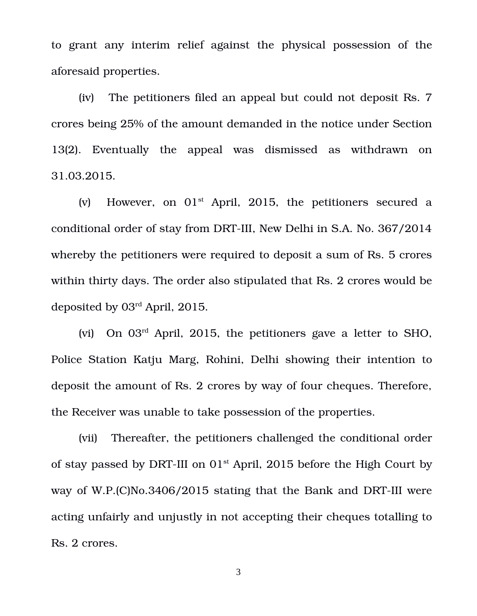to grant any interim relief against the physical possession of the aforesaid properties.

(iv) The petitioners filed an appeal but could not deposit Rs. 7 crores being 25% of the amount demanded in the notice under Section 13(2). Eventually the appeal was dismissed as withdrawn on 31.03.2015.

(v) However, on  $01<sup>st</sup>$  April, 2015, the petitioners secured a conditional order of stay from DRT-III, New Delhi in S.A. No. 367/2014 whereby the petitioners were required to deposit a sum of Rs. 5 crores within thirty days. The order also stipulated that Rs. 2 crores would be deposited by 03rd April, 2015.

(vi) On 03rd April, 2015, the petitioners gave a letter to SHO, Police Station Katju Marg, Rohini, Delhi showing their intention to deposit the amount of Rs. 2 crores by way of four cheques. Therefore, the Receiver was unable to take possession of the properties.

(vii) Thereafter, the petitioners challenged the conditional order of stay passed by DRT-III on  $01<sup>st</sup>$  April, 2015 before the High Court by way of W.P. $(C)$ No.3406/2015 stating that the Bank and DRT-III were acting unfairly and unjustly in not accepting their cheques totalling to Rs. 2 crores.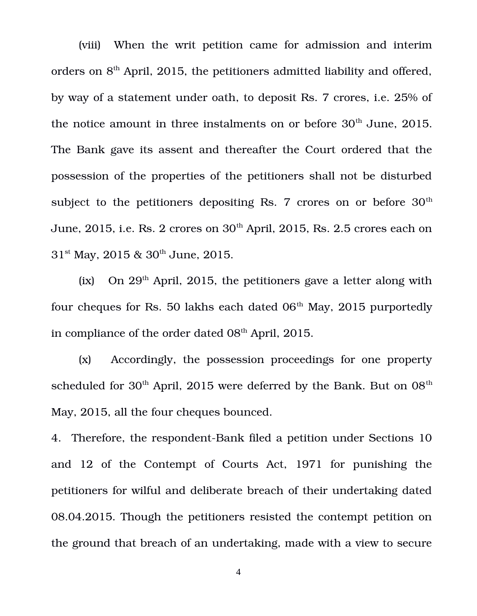(viii) When the writ petition came for admission and interim orders on  $8<sup>th</sup>$  April, 2015, the petitioners admitted liability and offered, by way of a statement under oath, to deposit Rs. 7 crores, i.e. 25% of the notice amount in three instalments on or before  $30<sup>th</sup>$  June, 2015. The Bank gave its assent and thereafter the Court ordered that the possession of the properties of the petitioners shall not be disturbed subject to the petitioners depositing Rs. 7 crores on or before  $30<sup>th</sup>$ June, 2015, i.e. Rs. 2 crores on  $30<sup>th</sup>$  April, 2015, Rs. 2.5 crores each on  $31<sup>st</sup>$  May, 2015 &  $30<sup>th</sup>$  June, 2015.

(ix) On  $29<sup>th</sup>$  April, 2015, the petitioners gave a letter along with four cheques for Rs. 50 lakhs each dated  $06<sup>th</sup>$  May, 2015 purportedly in compliance of the order dated  $08<sup>th</sup>$  April, 2015.

(x) Accordingly, the possession proceedings for one property scheduled for  $30<sup>th</sup>$  April, 2015 were deferred by the Bank. But on  $08<sup>th</sup>$ May, 2015, all the four cheques bounced.

4. Therefore, the respondent-Bank filed a petition under Sections 10 and 12 of the Contempt of Courts Act, 1971 for punishing the petitioners for wilful and deliberate breach of their undertaking dated 08.04.2015. Though the petitioners resisted the contempt petition on the ground that breach of an undertaking, made with a view to secure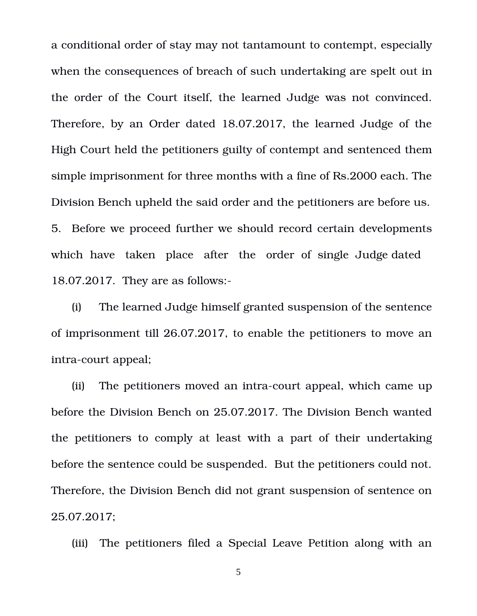a conditional order of stay may not tantamount to contempt, especially when the consequences of breach of such undertaking are spelt out in the order of the Court itself, the learned Judge was not convinced. Therefore, by an Order dated 18.07.2017, the learned Judge of the High Court held the petitioners guilty of contempt and sentenced them simple imprisonment for three months with a fine of Rs.2000 each. The Division Bench upheld the said order and the petitioners are before us. 5. Before we proceed further we should record certain developments which have taken place after the order of single Judge dated 18.07.2017. They are as follows:

(i) The learned Judge himself granted suspension of the sentence of imprisonment till 26.07.2017, to enable the petitioners to move an intra-court appeal;

(ii) The petitioners moved an intra-court appeal, which came up before the Division Bench on 25.07.2017. The Division Bench wanted the petitioners to comply at least with a part of their undertaking before the sentence could be suspended. But the petitioners could not. Therefore, the Division Bench did not grant suspension of sentence on 25.07.2017;

(iii) The petitioners filed a Special Leave Petition along with an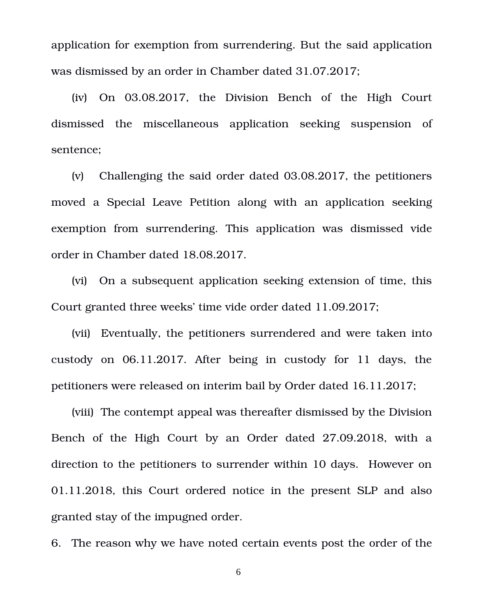application for exemption from surrendering. But the said application was dismissed by an order in Chamber dated 31.07.2017;

(iv) On 03.08.2017, the Division Bench of the High Court dismissed the miscellaneous application seeking suspension of sentence;

(v) Challenging the said order dated 03.08.2017, the petitioners moved a Special Leave Petition along with an application seeking exemption from surrendering. This application was dismissed vide order in Chamber dated 18.08.2017.

(vi) On a subsequent application seeking extension of time, this Court granted three weeks' time vide order dated 11.09.2017;

(vii) Eventually, the petitioners surrendered and were taken into custody on 06.11.2017. After being in custody for 11 days, the petitioners were released on interim bail by Order dated 16.11.2017;

(viii) The contempt appeal was thereafter dismissed by the Division Bench of the High Court by an Order dated 27.09.2018, with a direction to the petitioners to surrender within 10 days. However on 01.11.2018, this Court ordered notice in the present SLP and also granted stay of the impugned order.

6. The reason why we have noted certain events post the order of the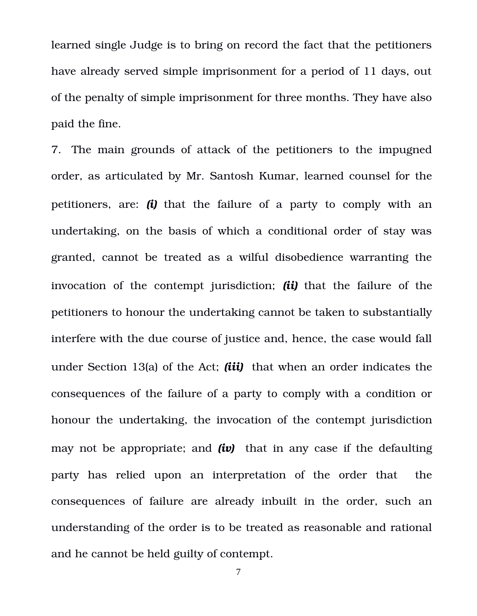learned single Judge is to bring on record the fact that the petitioners have already served simple imprisonment for a period of 11 days, out of the penalty of simple imprisonment for three months. They have also paid the fine.

7. The main grounds of attack of the petitioners to the impugned order, as articulated by Mr. Santosh Kumar, learned counsel for the petitioners, are: *(i)* that the failure of a party to comply with an undertaking, on the basis of which a conditional order of stay was granted, cannot be treated as a wilful disobedience warranting the invocation of the contempt jurisdiction; *(ii)* that the failure of the petitioners to honour the undertaking cannot be taken to substantially interfere with the due course of justice and, hence, the case would fall under Section 13(a) of the Act; *(iii)* that when an order indicates the consequences of the failure of a party to comply with a condition or honour the undertaking, the invocation of the contempt jurisdiction may not be appropriate; and *(iv)* that in any case if the defaulting party has relied upon an interpretation of the order that the consequences of failure are already inbuilt in the order, such an understanding of the order is to be treated as reasonable and rational and he cannot be held guilty of contempt.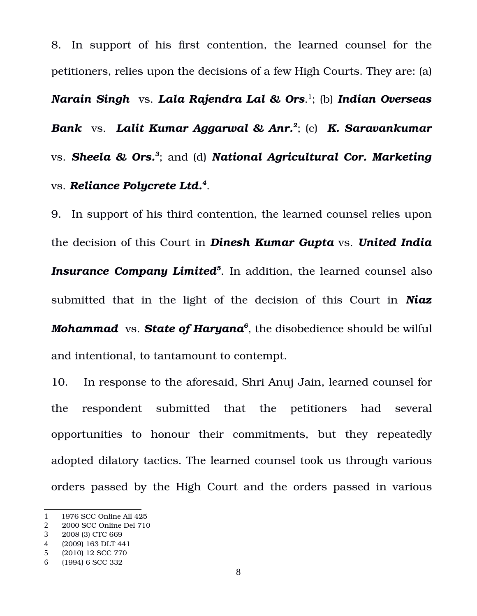8. In support of his first contention, the learned counsel for the petitioners, relies upon the decisions of a few High Courts. They are: (a) *Narain Singh* vs. *Lala Rajendra Lal & Ors*. [1](#page-7-0) ; (b) *Indian Overseas Bank* vs. *Lalit Kumar Aggarwal & Anr.[2](#page-7-1)* ; (c) *K. Saravankumar* vs. *Sheela & Ors.[3](#page-7-2)* ; and (d) *National Agricultural Cor. Marketing* vs. *Reliance Polycrete Ltd.[4](#page-7-3)* .

9. In support of his third contention, the learned counsel relies upon the decision of this Court in *Dinesh Kumar Gupta* vs. *United India Insurance Company Limited[5](#page-7-4)* . In addition, the learned counsel also submitted that in the light of the decision of this Court in **Niaz** *Mohammad* vs. *State of Haryana[6](#page-7-5)* , the disobedience should be wilful and intentional, to tantamount to contempt.

10. In response to the aforesaid, Shri Anuj Jain, learned counsel for the respondent submitted that the petitioners had several opportunities to honour their commitments, but they repeatedly adopted dilatory tactics. The learned counsel took us through various orders passed by the High Court and the orders passed in various

<span id="page-7-0"></span><sup>1</sup> 1976 SCC Online All 425

<span id="page-7-1"></span><sup>2</sup> 2000 SCC Online Del 710

<span id="page-7-2"></span><sup>3</sup> 2008 (3) CTC 669

<span id="page-7-3"></span><sup>4</sup> (2009) 163 DLT 441

<span id="page-7-4"></span><sup>5</sup> (2010) 12 SCC 770

<span id="page-7-5"></span><sup>6</sup> (1994) 6 SCC 332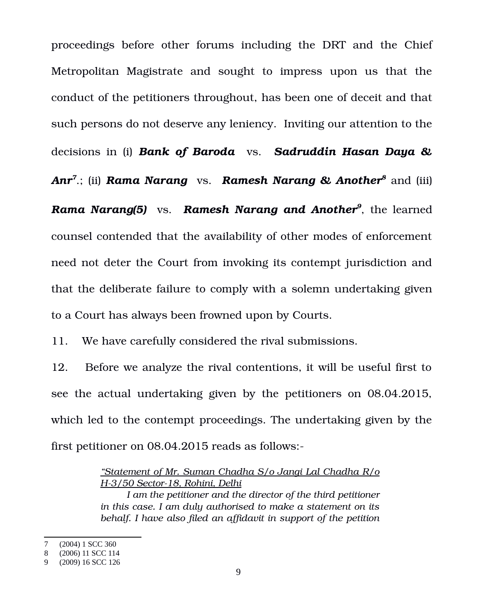proceedings before other forums including the DRT and the Chief Metropolitan Magistrate and sought to impress upon us that the conduct of the petitioners throughout, has been one of deceit and that such persons do not deserve any leniency. Inviting our attention to the decisions in (i) *Bank of Baroda* vs. *Sadruddin Hasan Daya &*

*Anr[7](#page-8-0)* .; (ii) *Rama Narang* vs. *Ramesh Narang & Another[8](#page-8-1)* and (iii)

*Rama Narang(5)* vs. *Ramesh Narang and Another[9](#page-8-2)* , the learned counsel contended that the availability of other modes of enforcement need not deter the Court from invoking its contempt jurisdiction and that the deliberate failure to comply with a solemn undertaking given to a Court has always been frowned upon by Courts.

11. We have carefully considered the rival submissions.

12. Before we analyze the rival contentions, it will be useful first to see the actual undertaking given by the petitioners on 08.04.2015, which led to the contempt proceedings. The undertaking given by the first petitioner on 08.04.2015 reads as follows:

> *"Statement of Mr. Suman Chadha S/o Jangi Lal Chadha R/o H3/50 Sector18, Rohini, Delhi*

> *I am the petitioner and the director of the third petitioner in this case. I am duly authorised to make a statement on its behalf. I have also filed an affidavit in support of the petition*

<span id="page-8-0"></span><sup>7</sup> (2004) 1 SCC 360

<span id="page-8-1"></span><sup>8</sup> (2006) 11 SCC 114

<span id="page-8-2"></span><sup>9</sup> (2009) 16 SCC 126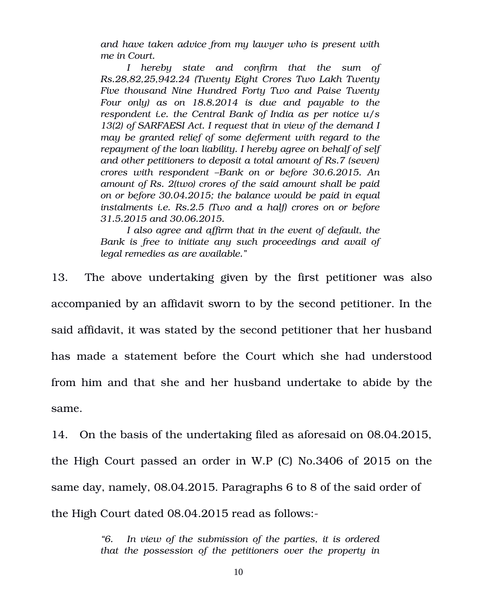*and have taken advice from my lawyer who is present with me in Court.*

*I hereby state and confirm that the sum of Rs.28,82,25,942.24 (Twenty Eight Crores Two Lakh Twenty Five thousand Nine Hundred Forty Two and Paise Twenty Four only) as on 18.8.2014 is due and payable to the respondent i.e. the Central Bank of India as per notice u/s 13(2) of SARFAESI Act. I request that in view of the demand I may be granted relief of some deferment with regard to the repayment of the loan liability. I hereby agree on behalf of self and other petitioners to deposit a total amount of Rs.7 (seven) crores with respondent –Bank on or before 30.6.2015. An amount of Rs. 2(two) crores of the said amount shall be paid on or before 30.04.2015; the balance would be paid in equal instalments i.e. Rs.2.5 (Two and a half) crores on or before 31.5.2015 and 30.06.2015.*

*I also agree and affirm that in the event of default, the Bank is free to initiate any such proceedings and avail of legal remedies as are available."*

13. The above undertaking given by the first petitioner was also accompanied by an affidavit sworn to by the second petitioner. In the said affidavit, it was stated by the second petitioner that her husband has made a statement before the Court which she had understood from him and that she and her husband undertake to abide by the same.

14. On the basis of the undertaking filed as aforesaid on 08.04.2015, the High Court passed an order in W.P (C) No.3406 of 2015 on the same day, namely, 08.04.2015. Paragraphs 6 to 8 of the said order of the High Court dated 08.04.2015 read as follows:

> *"6. In view of the submission of the parties, it is ordered that the possession of the petitioners over the property in*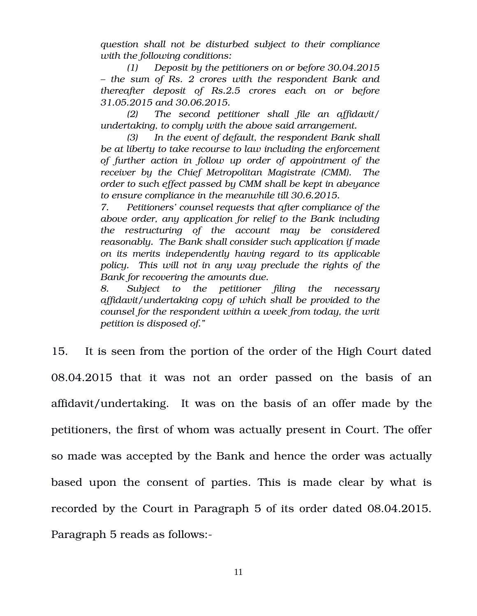*question shall not be disturbed subject to their compliance with the following conditions:*

*(1) Deposit by the petitioners on or before 30.04.2015 – the sum of Rs. 2 crores with the respondent Bank and thereafter deposit of Rs.2.5 crores each on or before 31.05.2015 and 30.06.2015.*

*(2) The second petitioner shall file an affidavit/ undertaking, to comply with the above said arrangement.*

*(3) In the event of default, the respondent Bank shall be at liberty to take recourse to law including the enforcement of further action in follow up order of appointment of the receiver by the Chief Metropolitan Magistrate (CMM). The order to such effect passed by CMM shall be kept in abeyance to ensure compliance in the meanwhile till 30.6.2015.*

*7. Petitioners' counsel requests that after compliance of the above order, any application for relief to the Bank including the restructuring of the account may be considered reasonably. The Bank shall consider such application if made on its merits independently having regard to its applicable policy. This will not in any way preclude the rights of the Bank for recovering the amounts due.*

*8. Subject to the petitioner filing the necessary affidavit/undertaking copy of which shall be provided to the counsel for the respondent within a week from today, the writ petition is disposed of."*

15. It is seen from the portion of the order of the High Court dated 08.04.2015 that it was not an order passed on the basis of an affidavit/undertaking. It was on the basis of an offer made by the petitioners, the first of whom was actually present in Court. The offer so made was accepted by the Bank and hence the order was actually based upon the consent of parties. This is made clear by what is recorded by the Court in Paragraph 5 of its order dated 08.04.2015. Paragraph 5 reads as follows: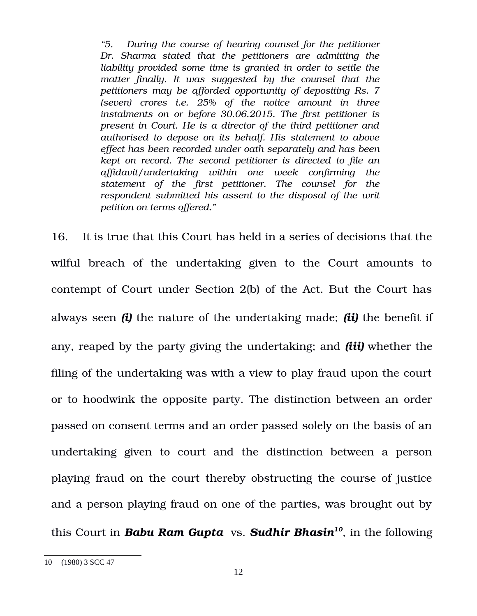*"5. During the course of hearing counsel for the petitioner Dr. Sharma stated that the petitioners are admitting the liability provided some time is granted in order to settle the matter finally. It was suggested by the counsel that the petitioners may be afforded opportunity of depositing Rs. 7 (seven) crores i.e. 25% of the notice amount in three instalments on or before 30.06.2015. The first petitioner is present in Court. He is a director of the third petitioner and authorised to depose on its behalf. His statement to above effect has been recorded under oath separately and has been kept on record. The second petitioner is directed to file an affidavit/undertaking within one week confirming the statement of the first petitioner. The counsel for the respondent submitted his assent to the disposal of the writ petition on terms offered."*

16. It is true that this Court has held in a series of decisions that the wilful breach of the undertaking given to the Court amounts to contempt of Court under Section 2(b) of the Act. But the Court has always seen *(i)* the nature of the undertaking made; *(ii)* the benefit if any, reaped by the party giving the undertaking; and *(iii)* whether the filing of the undertaking was with a view to play fraud upon the court or to hoodwink the opposite party. The distinction between an order passed on consent terms and an order passed solely on the basis of an undertaking given to court and the distinction between a person playing fraud on the court thereby obstructing the course of justice and a person playing fraud on one of the parties, was brought out by this Court in *Babu Ram Gupta* vs. *Sudhir Bhasin[10](#page-11-0)*, in the following

<span id="page-11-0"></span><sup>10 (1980) 3</sup> SCC 47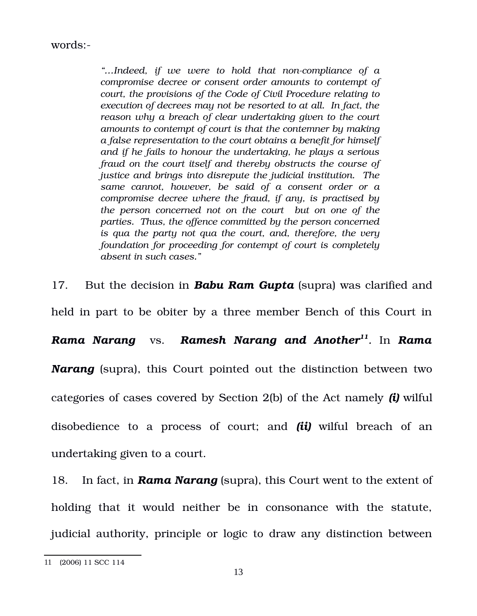words:

*"…Indeed, if we were to hold that noncompliance of a compromise decree or consent order amounts to contempt of court, the provisions of the Code of Civil Procedure relating to execution of decrees may not be resorted to at all. In fact, the reason why a breach of clear undertaking given to the court amounts to contempt of court is that the contemner by making a false representation to the court obtains a benefit for himself and if he fails to honour the undertaking, he plays a serious fraud on the court itself and thereby obstructs the course of justice and brings into disrepute the judicial institution. The same cannot, however, be said of a consent order or a compromise decree where the fraud, if any, is practised by the person concerned not on the court but on one of the parties. Thus, the offence committed by the person concerned is qua the party not qua the court, and, therefore, the very foundation for proceeding for contempt of court is completely absent in such cases."* 

17. But the decision in **Babu Ram Gupta** (supra) was clarified and held in part to be obiter by a three member Bench of this Court in *Rama Narang* vs. *Ramesh Narang and Another[11](#page-12-0) .* In *Rama Narang* (supra), this Court pointed out the distinction between two categories of cases covered by Section 2(b) of the Act namely *(i)* wilful disobedience to a process of court; and *(ii)* wilful breach of an undertaking given to a court.

18. In fact, in *Rama Narang* (supra), this Court went to the extent of holding that it would neither be in consonance with the statute, judicial authority, principle or logic to draw any distinction between

<span id="page-12-0"></span><sup>11</sup> (2006) 11 SCC 114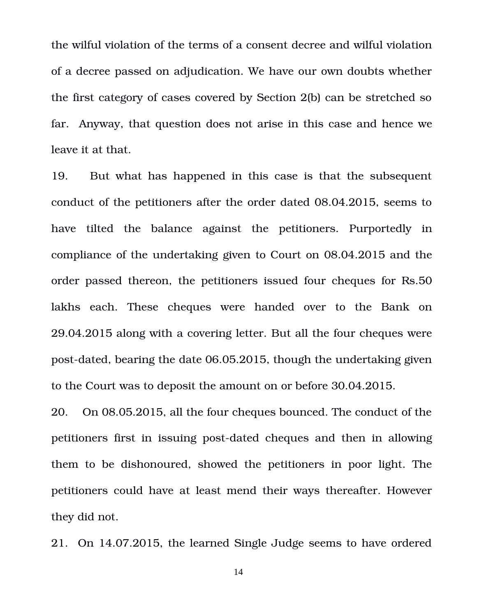the wilful violation of the terms of a consent decree and wilful violation of a decree passed on adjudication. We have our own doubts whether the first category of cases covered by Section 2(b) can be stretched so far. Anyway, that question does not arise in this case and hence we leave it at that.

19. But what has happened in this case is that the subsequent conduct of the petitioners after the order dated 08.04.2015, seems to have tilted the balance against the petitioners. Purportedly in compliance of the undertaking given to Court on 08.04.2015 and the order passed thereon, the petitioners issued four cheques for Rs.50 lakhs each. These cheques were handed over to the Bank on 29.04.2015 along with a covering letter. But all the four cheques were post-dated, bearing the date 06.05.2015, though the undertaking given to the Court was to deposit the amount on or before 30.04.2015.

20. On 08.05.2015, all the four cheques bounced. The conduct of the petitioners first in issuing post-dated cheques and then in allowing them to be dishonoured, showed the petitioners in poor light. The petitioners could have at least mend their ways thereafter. However they did not.

21. On 14.07.2015, the learned Single Judge seems to have ordered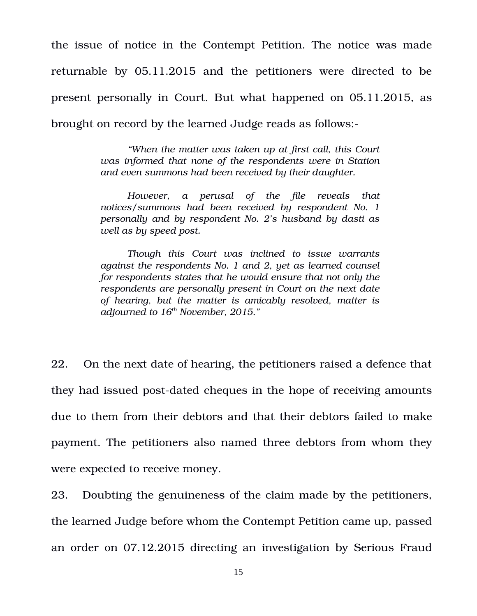the issue of notice in the Contempt Petition. The notice was made returnable by  $05.11.2015$  and the petitioners were directed to be present personally in Court. But what happened on 05.11.2015, as brought on record by the learned Judge reads as follows:

> *"When the matter was taken up at first call, this Court was informed that none of the respondents were in Station and even summons had been received by their daughter.*

> *However, a perusal of the file reveals that notices/summons had been received by respondent No. 1 personally and by respondent No. 2's husband by dasti as well as by speed post.*

> *Though this Court was inclined to issue warrants against the respondents No. 1 and 2, yet as learned counsel for respondents states that he would ensure that not only the respondents are personally present in Court on the next date of hearing, but the matter is amicably resolved, matter is adjourned to 16th November, 2015."*

22. On the next date of hearing, the petitioners raised a defence that they had issued post-dated cheques in the hope of receiving amounts due to them from their debtors and that their debtors failed to make payment. The petitioners also named three debtors from whom they were expected to receive money.

23. Doubting the genuineness of the claim made by the petitioners, the learned Judge before whom the Contempt Petition came up, passed an order on 07.12.2015 directing an investigation by Serious Fraud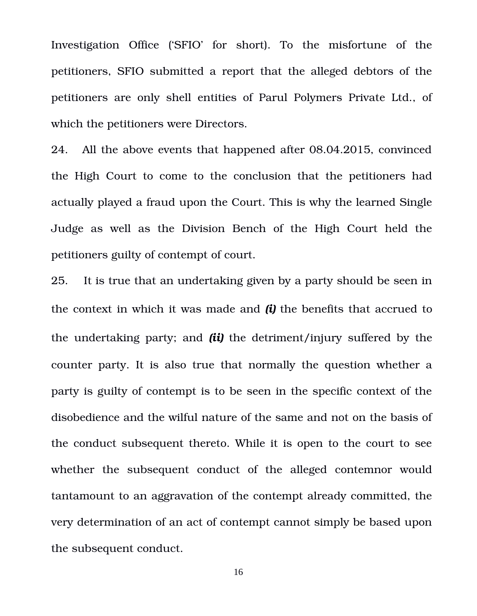Investigation Office ('SFIO' for short). To the misfortune of the petitioners, SFIO submitted a report that the alleged debtors of the petitioners are only shell entities of Parul Polymers Private Ltd., of which the petitioners were Directors.

24. All the above events that happened after 08.04.2015, convinced the High Court to come to the conclusion that the petitioners had actually played a fraud upon the Court. This is why the learned Single Judge as well as the Division Bench of the High Court held the petitioners guilty of contempt of court.

25. It is true that an undertaking given by a party should be seen in the context in which it was made and *(i)* the benefits that accrued to the undertaking party; and *(ii)* the detriment/injury suffered by the counter party. It is also true that normally the question whether a party is guilty of contempt is to be seen in the specific context of the disobedience and the wilful nature of the same and not on the basis of the conduct subsequent thereto. While it is open to the court to see whether the subsequent conduct of the alleged contemnor would tantamount to an aggravation of the contempt already committed, the very determination of an act of contempt cannot simply be based upon the subsequent conduct.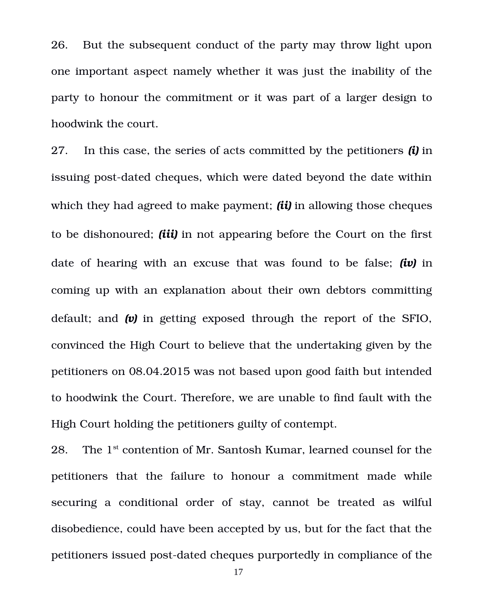26. But the subsequent conduct of the party may throw light upon one important aspect namely whether it was just the inability of the party to honour the commitment or it was part of a larger design to hoodwink the court.

27. In this case, the series of acts committed by the petitioners *(i)* in issuing post-dated cheques, which were dated beyond the date within which they had agreed to make payment; *(ii)* in allowing those cheques to be dishonoured; *(iii)* in not appearing before the Court on the first date of hearing with an excuse that was found to be false; *(iv)* in coming up with an explanation about their own debtors committing default; and *(v)* in getting exposed through the report of the SFIO, convinced the High Court to believe that the undertaking given by the petitioners on 08.04.2015 was not based upon good faith but intended to hoodwink the Court. Therefore, we are unable to find fault with the High Court holding the petitioners guilty of contempt.

28. The  $1^{st}$  contention of Mr. Santosh Kumar, learned counsel for the petitioners that the failure to honour a commitment made while securing a conditional order of stay, cannot be treated as wilful disobedience, could have been accepted by us, but for the fact that the petitioners issued post-dated cheques purportedly in compliance of the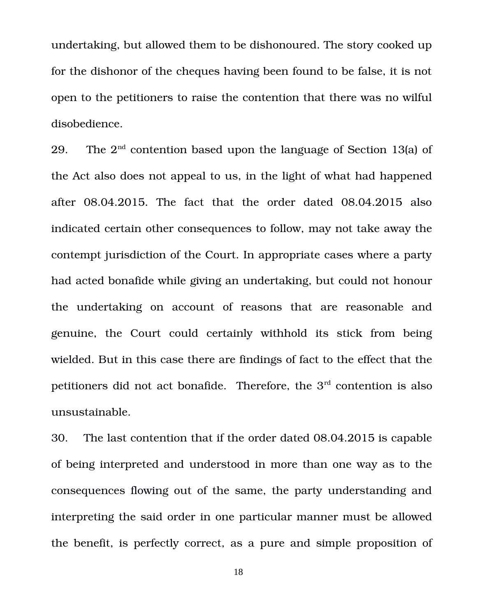undertaking, but allowed them to be dishonoured. The story cooked up for the dishonor of the cheques having been found to be false, it is not open to the petitioners to raise the contention that there was no wilful disobedience.

29. The  $2^{nd}$  contention based upon the language of Section 13(a) of the Act also does not appeal to us, in the light of what had happened after  $08.04.2015$ . The fact that the order dated  $08.04.2015$  also indicated certain other consequences to follow, may not take away the contempt jurisdiction of the Court. In appropriate cases where a party had acted bonafide while giving an undertaking, but could not honour the undertaking on account of reasons that are reasonable and genuine, the Court could certainly withhold its stick from being wielded. But in this case there are findings of fact to the effect that the petitioners did not act bonafide. Therefore, the  $3<sup>rd</sup>$  contention is also unsustainable.

30. The last contention that if the order dated 08.04.2015 is capable of being interpreted and understood in more than one way as to the consequences flowing out of the same, the party understanding and interpreting the said order in one particular manner must be allowed the benefit, is perfectly correct, as a pure and simple proposition of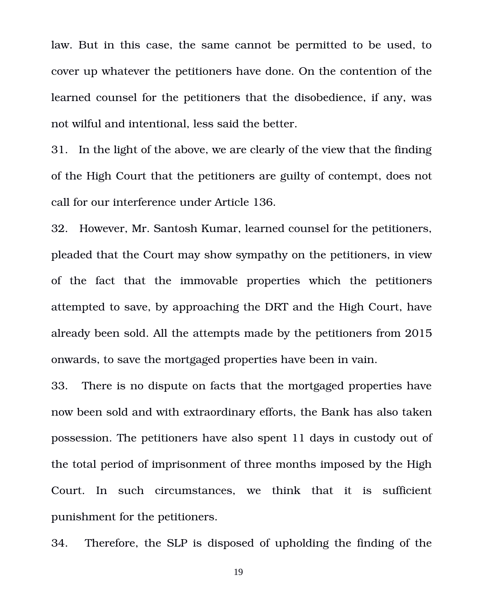law. But in this case, the same cannot be permitted to be used, to cover up whatever the petitioners have done. On the contention of the learned counsel for the petitioners that the disobedience, if any, was not wilful and intentional, less said the better.

31. In the light of the above, we are clearly of the view that the finding of the High Court that the petitioners are guilty of contempt, does not call for our interference under Article 136.

32. However, Mr. Santosh Kumar, learned counsel for the petitioners, pleaded that the Court may show sympathy on the petitioners, in view of the fact that the immovable properties which the petitioners attempted to save, by approaching the DRT and the High Court, have already been sold. All the attempts made by the petitioners from 2015 onwards, to save the mortgaged properties have been in vain.

33. There is no dispute on facts that the mortgaged properties have now been sold and with extraordinary efforts, the Bank has also taken possession. The petitioners have also spent 11 days in custody out of the total period of imprisonment of three months imposed by the High Court. In such circumstances, we think that it is sufficient punishment for the petitioners.

34. Therefore, the SLP is disposed of upholding the finding of the